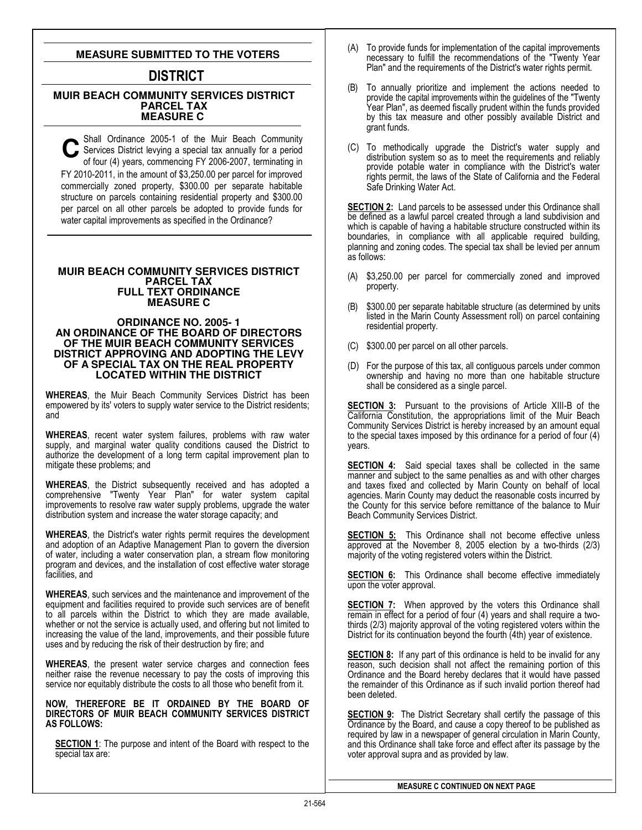## **MEASURE SUBMITTED TO THE VOTERS**

# **DISTRICT**

### **MUIR BEACH COMMUNITY SERVICES DISTRICT PARCEL TAX MEASURE C**

Shall Ordinance 2005-1 of the Muir Beach Community Services District levying a special tax annually for a period of four (4) years, commencing FY 2006-2007, terminating in FY 2010-2011, in the amount of \$3,250.00 per parcel for improved commercially zoned property, \$300.00 per separate habitable structure on parcels containing residential property and \$300.00 per parcel on all other parcels be adopted to provide funds for water capital improvements as specified in the Ordinance?

### **MUIR BEACH COMMUNITY SERVICES DISTRICT PARCEL TAX FULL TEXT ORDINANCE MEASURE C**

#### **ORDINANCE NO. 2005- 1 AN ORDINANCE OF THE BOARD OF DIRECTORS OF THE MUIR BEACH COMMUNITY SERVICES DISTRICT APPROVING AND ADOPTING THE LEVY OF A SPECIAL TAX ON THE REAL PROPERTY LOCATED WITHIN THE DISTRICT**

WHEREAS, the Muir Beach Community Services District has been empowered by its' voters to supply water service to the District residents; and

WHEREAS, recent water system failures, problems with raw water supply, and marginal water quality conditions caused the District to authorize the development of a long term capital improvement plan to mitigate these problems; and

WHEREAS, the District subsequently received and has adopted a comprehensive "Twenty Year Plan" for water system capital improvements to resolve raw water supply problems, upgrade the water distribution system and increase the water storage capacity; and

WHEREAS, the District's water rights permit requires the development and adoption of an Adaptive Management Plan to govern the diversion of water, including a water conservation plan, a stream flow monitoring program and devices, and the installation of cost effective water storage facilities, and

WHEREAS, such services and the maintenance and improvement of the equipment and facilities required to provide such services are of benefit to all parcels within the District to which they are made available, whether or not the service is actually used, and offering but not limited to increasing the value of the land, improvements, and their possible future uses and by reducing the risk of their destruction by fire; and

WHEREAS, the present water service charges and connection fees neither raise the revenue necessary to pay the costs of improving this service nor equitably distribute the costs to all those who benefit from it.

#### NOW, THEREFORE BE IT ORDAINED BY THE BOARD OF DIRECTORS OF MUIR BEACH COMMUNITY SERVICES DISTRICT AS FOLLOWS:

SECTION 1: The purpose and intent of the Board with respect to the special tax are:

- (A) To provide funds for implementation of the capital improvements necessary to fulfill the recommendations of the "Twenty Year Plan" and the requirements of the District's water rights permit.
- (B) To annually prioritize and implement the actions needed to provide the capital improvements within the guidelines of the "Twenty Year Plan", as deemed fiscally prudent within the funds provided by this tax measure and other possibly available District and grant funds.
- (C) To methodically upgrade the District's water supply and distribution system so as to meet the requirements and reliably provide potable water in compliance with the District's water rights permit, the laws of the State of California and the Federal Safe Drinking Water Act.

SECTION 2: Land parcels to be assessed under this Ordinance shall be defined as a lawful parcel created through a land subdivision and which is capable of having a habitable structure constructed within its boundaries, in compliance with all applicable required building, planning and zoning codes. The special tax shall be levied per annum as follows:

- (A) \$3,250.00 per parcel for commercially zoned and improved property.
- (B) \$300.00 per separate habitable structure (as determined by units listed in the Marin County Assessment roll) on parcel containing residential property.
- (C) \$300.00 per parcel on all other parcels.
- (D) For the purpose of this tax, all contiguous parcels under common ownership and having no more than one habitable structure shall be considered as a single parcel.

SECTION 3: Pursuant to the provisions of Article XIII-B of the California Constitution, the appropriations limit of the Muir Beach Community Services District is hereby increased by an amount equal to the special taxes imposed by this ordinance for a period of four (4) years.

**SECTION 4:** Said special taxes shall be collected in the same manner and subject to the same penalties as and with other charges and taxes fixed and collected by Marin County on behalf of local agencies. Marin County may deduct the reasonable costs incurred by the County for this service before remittance of the balance to Muir Beach Community Services District.

**SECTION 5:** This Ordinance shall not become effective unless approved at the November 8, 2005 election by a two-thirds (2/3) majority of the voting registered voters within the District.

**SECTION 6:** This Ordinance shall become effective immediately upon the voter approval.

**SECTION 7:** When approved by the voters this Ordinance shall remain in effect for a period of four (4) years and shall require a twothirds (2/3) majority approval of the voting registered voters within the District for its continuation beyond the fourth (4th) year of existence.

**SECTION 8:** If any part of this ordinance is held to be invalid for any reason, such decision shall not affect the remaining portion of this Ordinance and the Board hereby declares that it would have passed the remainder of this Ordinance as if such invalid portion thereof had been deleted.

**SECTION 9:** The District Secretary shall certify the passage of this Ordinance by the Board, and cause a copy thereof to be published as required by law in a newspaper of general circulation in Marin County, and this Ordinance shall take force and effect after its passage by the voter approval supra and as provided by law.